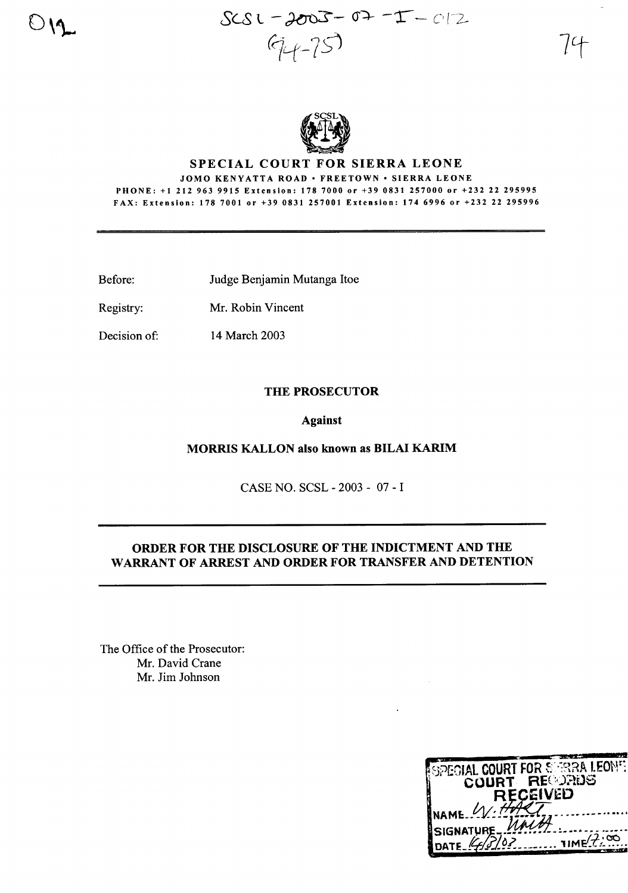$SSC - 2003 - 47 - 1200$  $44 - 75$ 



# SPECIAL COURT FOR SIERRA LEONE

JOMO KENYATTA ROAD · FREETOWN · SIERRA LEONE PHONE: +12129639915 Extension: 1787000 or +390831257000 or +232 22 295995 FAX: Extension: 1787001 or +39 0831257001 Extension: 1746996 or +232 22 295996

- Before: Judge Benjamin Mutanga Itoe
- Registry: Mr. Robin Vincent
- Decision of: 14 March 2003

### THE PROSECUTOR

#### Against

## MORRIS KALLON also known as BILAI KARIM

CASE NO. SCSL - 2003 - 07 - I

## ORDER FOR THE DISCLOSURE OF THE INDICTMENT AND THE WARRANT OF ARREST AND ORDER FOR TRANSFER AND DETENTION

The Office of the Prosecutor: Mr. David Crane Mr. Jim Johnson

| SPECIAL COURT FOR SERRA LEONE<br>COURT REQUADS |           |
|------------------------------------------------|-----------|
| <b>RECEIVED</b><br>NAME W. HART                |           |
| SIGNATURE UNIT<br>DATE 4/3/02                  | 7IMF/7.00 |